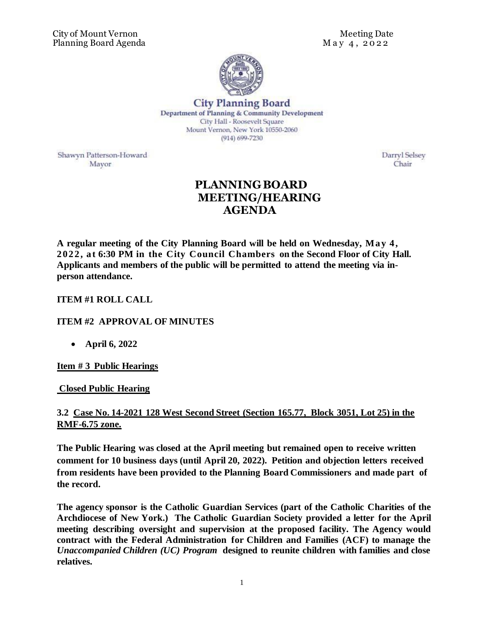

**City Planning Board** Department of Planning & Community Development City Hall - Roosevelt Square Mount Vernon, New York 10550-2060  $(914) 699 - 7230$ 

Shawyn Patterson-Howard Mayor

Darryl Selsey Chair

# **PLANNING BOARD MEETING/HEARING AGENDA**

**A regular meeting of the City Planning Board will be held on Wednesday, May 4, 2022, a t 6:30 PM in the City Council Chambers on the Second Floor of City Hall. Applicants and members of the public will be permitted to attend the meeting via inperson attendance.** 

### **ITEM #1 ROLL CALL**

### **ITEM #2 APPROVAL OF MINUTES**

• **April 6, 2022**

### **Item # 3 Public Hearings**

### **Closed Public Hearing**

# **3.2 Case No. 14-2021 128 West Second Street (Section 165.77, Block 3051, Lot 25) in the RMF-6.75 zone.**

**The Public Hearing was closed at the April meeting but remained open to receive written comment for 10 business days (until April 20, 2022). Petition and objection letters received from residents have been provided to the Planning Board Commissioners and made part of the record.**

**The agency sponsor is the Catholic Guardian Services (part of the Catholic Charities of the Archdiocese of New York.) The Catholic Guardian Society provided a letter for the April meeting describing oversight and supervision at the proposed facility. The Agency would contract with the Federal Administration for Children and Families (ACF) to manage the**  *Unaccompanied Children (UC) Program* **designed to reunite children with families and close relatives.**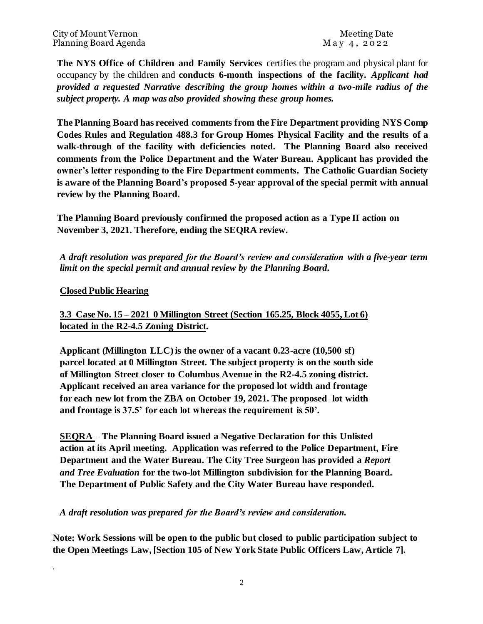**The NYS Office of Children and Family Services** certifies the program and physical plant for occupancy by the children and **conducts 6-month inspections of the facility.** *Applicant had provided a requested Narrative describing the group homes within a two-mile radius of the subject property. A map was also provided showing these group homes.* 

**The Planning Board has received comments from the Fire Department providing NYS Comp Codes Rules and Regulation 488.3 for Group Homes Physical Facility and the results of a walk-through of the facility with deficiencies noted. The Planning Board also received comments from the Police Department and the Water Bureau. Applicant has provided the owner's letter responding to the Fire Department comments. The Catholic Guardian Society is aware of the Planning Board's proposed 5-year approval of the special permit with annual review by the Planning Board.** 

**The Planning Board previously confirmed the proposed action as a Type II action on November 3, 2021. Therefore, ending the SEQRA review.** 

*A draft resolution was prepared for the Board's review and consideration with a five-year term limit on the special permit and annual review by the Planning Board.* 

#### **Closed Public Hearing**

**\**

# **3.3 Case No. 15 – 2021 0 Millington Street (Section 165.25, Block 4055, Lot 6) located in the R2-4.5 Zoning District.**

**Applicant (Millington LLC) is the owner of a vacant 0.23-acre (10,500 sf) parcel located at 0 Millington Street. The subject property is on the south side of Millington Street closer to Columbus Avenue in the R2-4.5 zoning district. Applicant received an area variance for the proposed lot width and frontage for each new lot from the ZBA on October 19, 2021. The proposed lot width and frontage is 37.5' for each lot whereas the requirement is 50'.** 

**SEQRA** – **The Planning Board issued a Negative Declaration for this Unlisted action at its April meeting. Application was referred to the Police Department, Fire Department and the Water Bureau. The City Tree Surgeon has provided a** *Report and Tree Evaluation* **for the two-lot Millington subdivision for the Planning Board. The Department of Public Safety and the City Water Bureau have responded.** 

*A draft resolution was prepared for the Board's review and consideration.* 

**Note: Work Sessions will be open to the public but closed to public participation subject to the Open Meetings Law, [Section 105 of New York State Public Officers Law, Article 7].**